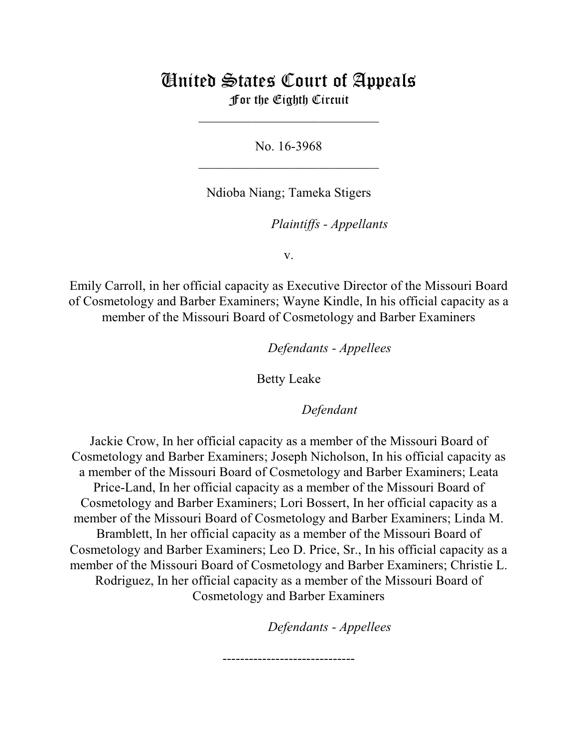## United States Court of Appeals For the Eighth Circuit

\_\_\_\_\_\_\_\_\_\_\_\_\_\_\_\_\_\_\_\_\_\_\_\_\_\_\_

No. 16-3968  $\mathcal{L}_\text{max}$  , which is a set of the set of the set of the set of the set of the set of the set of the set of the set of the set of the set of the set of the set of the set of the set of the set of the set of the set of

Ndioba Niang; Tameka Stigers

*Plaintiffs - Appellants* 

v.

Emily Carroll, in her official capacity as Executive Director of the Missouri Board of Cosmetology and Barber Examiners; Wayne Kindle, In his official capacity as a member of the Missouri Board of Cosmetology and Barber Examiners

lllllllllllllllllllll *Defendants - Appellees*

Betty Leake

Defendant

Jackie Crow, In her official capacity as a member of the Missouri Board of Cosmetology and Barber Examiners; Joseph Nicholson, In his official capacity as a member of the Missouri Board of Cosmetology and Barber Examiners; Leata Price-Land, In her official capacity as a member of the Missouri Board of Cosmetology and Barber Examiners; Lori Bossert, In her official capacity as a member of the Missouri Board of Cosmetology and Barber Examiners; Linda M. Bramblett, In her official capacity as a member of the Missouri Board of Cosmetology and Barber Examiners; Leo D. Price, Sr., In his official capacity as a member of the Missouri Board of Cosmetology and Barber Examiners; Christie L. Rodriguez, In her official capacity as a member of the Missouri Board of Cosmetology and Barber Examiners

------------------------------

**Defendants - Appellees**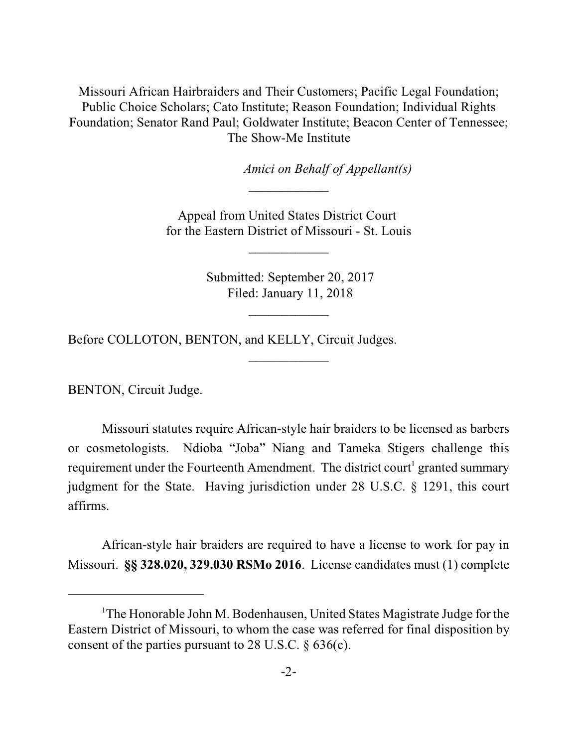Missouri African Hairbraiders and Their Customers; Pacific Legal Foundation; Public Choice Scholars; Cato Institute; Reason Foundation; Individual Rights Foundation; Senator Rand Paul; Goldwater Institute; Beacon Center of Tennessee; The Show-Me Institute

*Amici on Behalf of Appellant(s)* 

Appeal from United States District Court for the Eastern District of Missouri - St. Louis

 $\frac{1}{2}$ 

 $\frac{1}{2}$ 

 Submitted: September 20, 2017 Filed: January 11, 2018

 $\overline{\phantom{a}}$  , where  $\overline{\phantom{a}}$ 

 $\frac{1}{2}$ 

Before COLLOTON, BENTON, and KELLY, Circuit Judges.

BENTON, Circuit Judge.

Missouri statutes require African-style hair braiders to be licensed as barbers or cosmetologists. Ndioba "Joba" Niang and Tameka Stigers challenge this requirement under the Fourteenth Amendment. The district court<sup>1</sup> granted summary judgment for the State. Having jurisdiction under 28 U.S.C. § 1291, this court affirms.

African-style hair braiders are required to have a license to work for pay in Missouri. **§§ 328.020, 329.030 RSMo 2016**. License candidates must (1) complete

<sup>&</sup>lt;sup>1</sup>The Honorable John M. Bodenhausen, United States Magistrate Judge for the Eastern District of Missouri, to whom the case was referred for final disposition by consent of the parties pursuant to 28 U.S.C. § 636(c).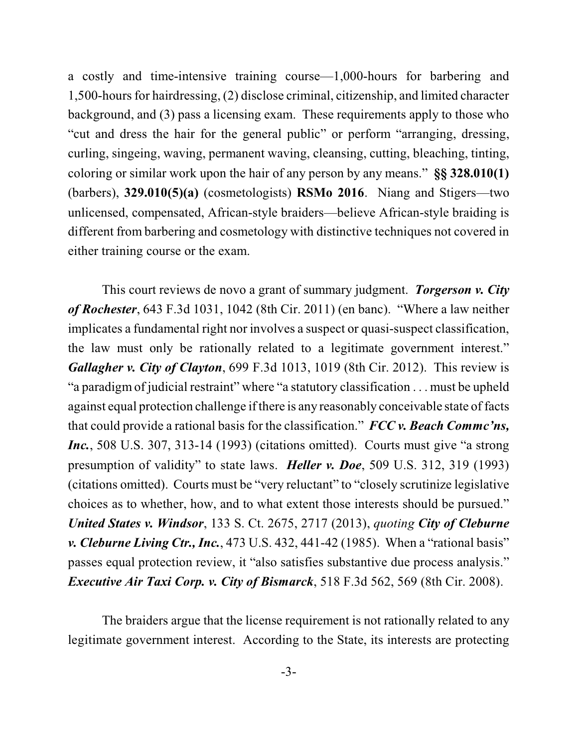a costly and time-intensive training course—1,000-hours for barbering and  $1,500$ -hours for hairdressing,  $(2)$  disclose criminal, citizenship, and limited character background, and (3) pass a licensing exam. These requirements apply to those who "cut and dress the hair for the general public" or perform "arranging, dressing, curling, singeing, waving, permanent waving, cleansing, cutting, bleaching, tinting, coloring or similar work upon the hair of any person by any means." **§§ 328.010(1)** (barbers), **329.010(5)(a)** (cosmetologists) **RSMo 2016**. Niang and Stigers—two unlicensed, compensated, African-style braiders—believe African-style braiding is different from barbering and cosmetology with distinctive techniques not covered in either training course or the exam.

This court reviews de novo a grant of summary judgment. *Torgerson v. City of Rochester*, 643 F.3d 1031, 1042 (8th Cir. 2011) (en banc). "Where a law neither implicates a fundamental right nor involves a suspect or quasi-suspect classification, the law must only be rationally related to a legitimate government interest." *Gallagher v. City of Clayton*, 699 F.3d 1013, 1019 (8th Cir. 2012). This review is "a paradigm of judicial restraint" where "a statutory classification . . . must be upheld against equal protection challenge if there is any reasonably conceivable state of facts that could provide a rational basis for the classification." *FCC v. Beach Commc'ns, Inc.*, 508 U.S. 307, 313-14 (1993) (citations omitted). Courts must give "a strong presumption of validity" to state laws. *Heller v. Doe*, 509 U.S. 312, 319 (1993) (citations omitted). Courts must be "very reluctant" to "closely scrutinize legislative choices as to whether, how, and to what extent those interests should be pursued." *United States v. Windsor*, 133 S. Ct. 2675, 2717 (2013), *quoting City of Cleburne v. Cleburne Living Ctr., Inc.*, 473 U.S. 432, 441-42 (1985). When a "rational basis" passes equal protection review, it "also satisfies substantive due process analysis." *Executive Air Taxi Corp. v. City of Bismarck*, 518 F.3d 562, 569 (8th Cir. 2008).

The braiders argue that the license requirement is not rationally related to any legitimate government interest. According to the State, its interests are protecting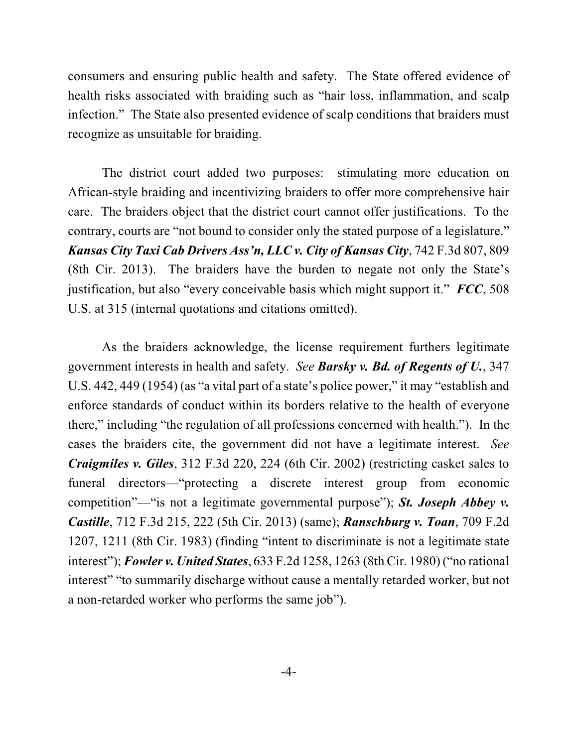consumers and ensuring public health and safety. The State offered evidence of health risks associated with braiding such as "hair loss, inflammation, and scalp infection." The State also presented evidence of scalp conditions that braiders must recognize as unsuitable for braiding.

The district court added two purposes: stimulating more education on African-style braiding and incentivizing braiders to offer more comprehensive hair care. The braiders object that the district court cannot offer justifications. To the contrary, courts are "not bound to consider only the stated purpose of a legislature." *Kansas City Taxi Cab Drivers Ass'n, LLC v. City of Kansas City*, 742 F.3d 807, 809 (8th Cir. 2013). The braiders have the burden to negate not only the State's justification, but also "every conceivable basis which might support it." *FCC*, 508 U.S. at 315 (internal quotations and citations omitted).

As the braiders acknowledge, the license requirement furthers legitimate government interests in health and safety. *See Barsky v. Bd. of Regents of U.*, 347 U.S. 442, 449 (1954) (as "a vital part of a state's police power," it may "establish and enforce standards of conduct within its borders relative to the health of everyone there," including "the regulation of all professions concerned with health."). In the cases the braiders cite, the government did not have a legitimate interest. *See Craigmiles v. Giles*, 312 F.3d 220, 224 (6th Cir. 2002) (restricting casket sales to funeral directors—"protecting a discrete interest group from economic competition"—"is not a legitimate governmental purpose"); *St. Joseph Abbey v. Castille*, 712 F.3d 215, 222 (5th Cir. 2013) (same); *Ranschburg v. Toan*, 709 F.2d 1207, 1211 (8th Cir. 1983) (finding "intent to discriminate is not a legitimate state interest"); *Fowler v. United States*, 633 F.2d 1258, 1263 (8th Cir. 1980) ("no rational interest" "to summarily discharge without cause a mentally retarded worker, but not a non-retarded worker who performs the same job").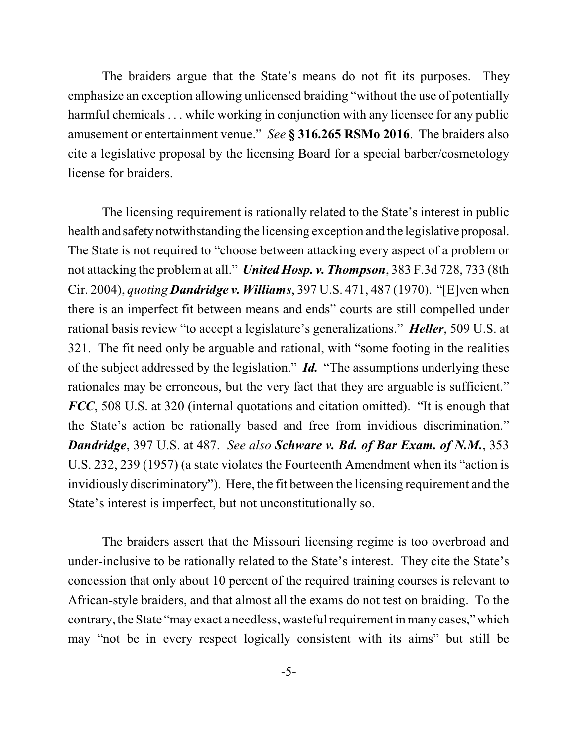The braiders argue that the State's means do not fit its purposes. They emphasize an exception allowing unlicensed braiding "without the use of potentially harmful chemicals . . . while working in conjunction with any licensee for any public amusement or entertainment venue." *See* **§ 316.265 RSMo 2016**. The braiders also cite a legislative proposal by the licensing Board for a special barber/cosmetology license for braiders.

The licensing requirement is rationally related to the State's interest in public health and safetynotwithstanding the licensing exception and the legislative proposal. The State is not required to "choose between attacking every aspect of a problem or not attacking the problemat all." *United Hosp. v. Thompson*, 383 F.3d 728, 733 (8th Cir. 2004), *quoting Dandridge v. Williams*, 397 U.S. 471, 487 (1970). "[E]ven when there is an imperfect fit between means and ends" courts are still compelled under rational basis review "to accept a legislature's generalizations." *Heller*, 509 U.S. at 321. The fit need only be arguable and rational, with "some footing in the realities of the subject addressed by the legislation." *Id.* "The assumptions underlying these rationales may be erroneous, but the very fact that they are arguable is sufficient." *FCC*, 508 U.S. at 320 (internal quotations and citation omitted). "It is enough that the State's action be rationally based and free from invidious discrimination." *Dandridge*, 397 U.S. at 487. *See also Schware v. Bd. of Bar Exam. of N.M.*, 353 U.S. 232, 239 (1957) (a state violates the Fourteenth Amendment when its "action is invidiously discriminatory"). Here, the fit between the licensing requirement and the State's interest is imperfect, but not unconstitutionally so.

The braiders assert that the Missouri licensing regime is too overbroad and under-inclusive to be rationally related to the State's interest. They cite the State's concession that only about 10 percent of the required training courses is relevant to African-style braiders, and that almost all the exams do not test on braiding. To the contrary, the State "may exact a needless, wasteful requirement in many cases," which may "not be in every respect logically consistent with its aims" but still be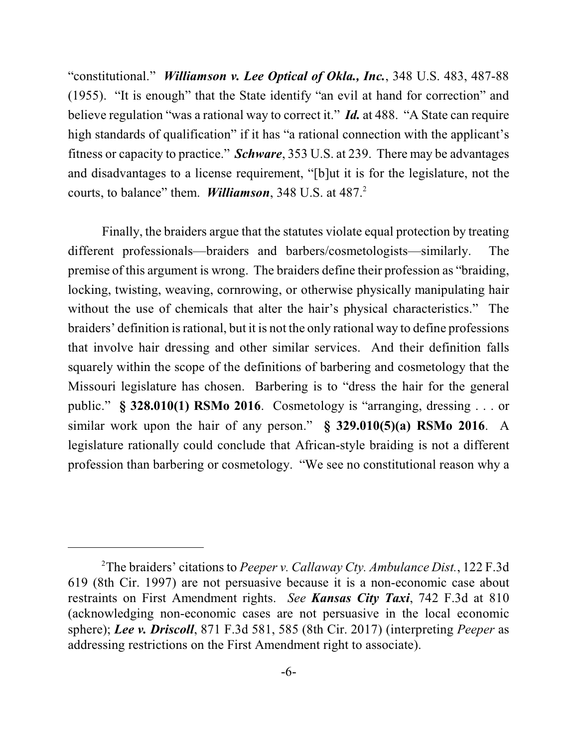"constitutional." *Williamson v. Lee Optical of Okla., Inc.*, 348 U.S. 483, 487-88 (1955). "It is enough" that the State identify "an evil at hand for correction" and believe regulation "was a rational way to correct it." *Id.* at 488. "A State can require high standards of qualification" if it has "a rational connection with the applicant's fitness or capacity to practice." *Schware*, 353 U.S. at 239. There may be advantages and disadvantages to a license requirement, "[b]ut it is for the legislature, not the courts, to balance" them. *Williamson*, 348 U.S. at 487.<sup>2</sup>

Finally, the braiders argue that the statutes violate equal protection by treating different professionals—braiders and barbers/cosmetologists—similarly. The premise of this argument is wrong. The braiders define their profession as "braiding, locking, twisting, weaving, cornrowing, or otherwise physically manipulating hair without the use of chemicals that alter the hair's physical characteristics." The braiders' definition isrational, but it is not the only rational way to define professions that involve hair dressing and other similar services. And their definition falls squarely within the scope of the definitions of barbering and cosmetology that the Missouri legislature has chosen. Barbering is to "dress the hair for the general public." **§ 328.010(1) RSMo 2016**. Cosmetology is "arranging, dressing . . . or similar work upon the hair of any person." **§ 329.010(5)(a) RSMo 2016**. A legislature rationally could conclude that African-style braiding is not a different profession than barbering or cosmetology. "We see no constitutional reason why a

The braiders' citations to *Peeper v. Callaway Cty. Ambulance Dist.*, 122 F.3d 2 619 (8th Cir. 1997) are not persuasive because it is a non-economic case about restraints on First Amendment rights. *See Kansas City Taxi*, 742 F.3d at 810 (acknowledging non-economic cases are not persuasive in the local economic sphere); *Lee v. Driscoll*, 871 F.3d 581, 585 (8th Cir. 2017) (interpreting *Peeper* as addressing restrictions on the First Amendment right to associate).